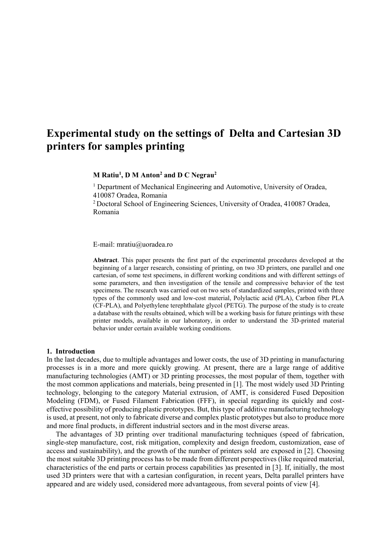# **Experimental study on the settings of Delta and Cartesian 3D printers for samples printing**

**M Ratiu<sup>1</sup> , D M Anton<sup>2</sup> and D C Negrau<sup>2</sup>**

<sup>1</sup> Department of Mechanical Engineering and Automotive, University of Oradea, 410087 Oradea, Romania

<sup>2</sup>Doctoral School of Engineering Sciences, University of Oradea, 410087 Oradea, Romania

E-mail: mratiu@uoradea.ro

**Abstract**. This paper presents the first part of the experimental procedures developed at the beginning of a larger research, consisting of printing, on two 3D printers, one parallel and one cartesian, of some test specimens, in different working conditions and with different settings of some parameters, and then investigation of the tensile and compressive behavior of the test specimens. The research was carried out on two sets of standardized samples, printed with three types of the commonly used and low-cost material, Polylactic acid (PLA), Carbon fiber PLA (CF-PLA), and Polyethylene terephthalate glycol (PETG). The purpose of the study is to create a database with the results obtained, which will be a working basis for future printings with these printer models, available in our laboratory, in order to understand the 3D-printed material behavior under certain available working conditions.

#### **1. Introduction**

In the last decades, due to multiple advantages and lower costs, the use of 3D printing in manufacturing processes is in a more and more quickly growing. At present, there are a large range of additive manufacturing technologies (AMT) or 3D printing processes, the most popular of them, together with the most common applications and materials, being presented in [1]. The most widely used 3D Printing technology, belonging to the category Material extrusion, of AMT, is considered Fused Deposition Modeling (FDM), or Fused Filament Fabrication (FFF), in special regarding its quickly and costeffective possibility of producing plastic prototypes. But, this type of additive manufacturing technology is used, at present, not only to fabricate diverse and complex plastic prototypes but also to produce more and more final products, in different industrial sectors and in the most diverse areas.

The advantages of 3D printing over traditional manufacturing techniques (speed of fabrication, single-step manufacture, cost, risk mitigation, complexity and design freedom, customization, ease of access and sustainability), and the growth of the number of printers sold are exposed in [2]. Choosing the most suitable 3D printing process has to be made from different perspectives (like required material, characteristics of the end parts or certain process capabilities )as presented in [3]. If, initially, the most used 3D printers were that with a cartesian configuration, in recent years, Delta parallel printers have appeared and are widely used, considered more advantageous, from several points of view [4].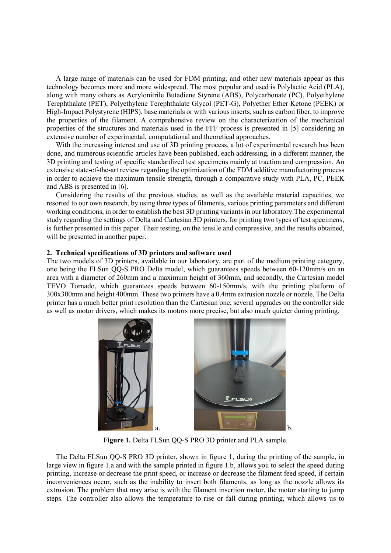A large range of materials can be used for FDM printing, and other new materials appear as this technology becomes more and more widespread. The most popular and used is Polylactic Acid (PLA), along with many others as Acrylonitrile Butadiene Styrene (ABS), Polycarbonate (PC), Polyethylene Terephthalate (PET), Polyethylene Terephthalate Glycol (PET-G), Polyether Ether Ketone (PEEK) or High-Impact Polystyrene (HIPS), base materials or with various inserts, such as carbon fiber, to improve the properties of the filament. A comprehensive review on the characterization of the mechanical properties of the structures and materials used in the FFF process is presented in [5] considering an extensive number of experimental, computational and theoretical approaches.

With the increasing interest and use of 3D printing process, a lot of experimental research has been done, and numerous scientific articles have been published, each addressing, in a different manner, the 3D printing and testing of specific standardized test specimens mainly at traction and compression. An extensive state-of-the-art review regarding the optimization of the FDM additive manufacturing process in order to achieve the maximum tensile strength, through a comparative study with PLA, PC, PEEK and ABS is presented in [6].

Considering the results of the previous studies, as well as the available material capacities, we resorted to our own research, by using three types of filaments, various printing parameters and different working conditions, in order to establish the best 3D printing variants in our laboratory.The experimental study regarding the settings of Delta and Cartesian 3D printers, for printing two types of test specimens, is further presented in this paper. Their testing, on the tensile and compressive, and the results obtained, will be presented in another paper.

### **2. Technical specifications of 3D printers and software used**

The two models of 3D printers, available in our laboratory, are part of the medium printing category, one being the FLSun QQ-S PRO Delta model, which guarantees speeds between 60-120mm/s on an area with a diameter of 260mm and a maximum height of 360mm, and secondly, the Cartesian model TEVO Tornado, which guarantees speeds between 60-150mm/s, with the printing platform of 300x300mm and height 400mm. These two printers have a 0.4mm extrusion nozzle or nozzle. The Delta printer has a much better print resolution than the Cartesian one, several upgrades on the controller side as well as motor drivers, which makes its motors more precise, but also much quieter during printing.





**Figure 1.** Delta FLSun QQ-S PRO 3D printer and PLA sample.

The Delta FLSun QQ-S PRO 3D printer, shown in figure 1, during the printing of the sample, in large view in figure 1.a and with the sample printed in figure 1.b, allows you to select the speed during printing, increase or decrease the print speed, or increase or decrease the filament feed speed, if certain inconveniences occur, such as the inability to insert both filaments, as long as the nozzle allows its extrusion. The problem that may arise is with the filament insertion motor, the motor starting to jump steps. The controller also allows the temperature to rise or fall during printing, which allows us to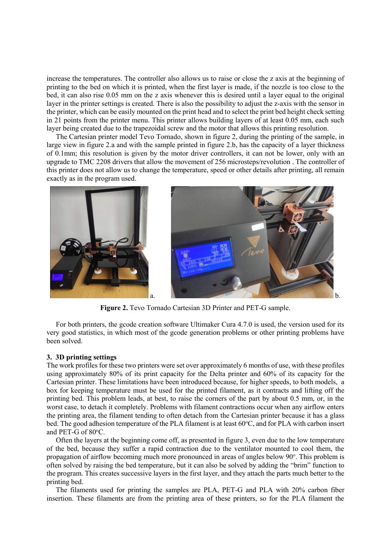increase the temperatures. The controller also allows us to raise or close the z axis at the beginning of printing to the bed on which it is printed, when the first layer is made, if the nozzle is too close to the bed, it can also rise 0.05 mm on the z axis whenever this is desired until a layer equal to the original layer in the printer settings is created. There is also the possibility to adjust the z-axis with the sensor in the printer, which can be easily mounted on the print head and to select the print bed height check setting in 21 points from the printer menu. This printer allows building layers of at least 0.05 mm, each such layer being created due to the trapezoidal screw and the motor that allows this printing resolution.

The Cartesian printer model Tevo Tornado, shown in figure 2, during the printing of the sample, in large view in figure 2.a and with the sample printed in figure 2.b, has the capacity of a layer thickness of 0.1mm; this resolution is given by the motor driver controllers, it can not be lower, only with an upgrade to TMC 2208 drivers that allow the movement of 256 microsteps/revolution . The controller of this printer does not allow us to change the temperature, speed or other details after printing, all remain exactly as in the program used.



**Figure 2.** Tevo Tornado Cartesian 3D Printer and PET-G sample.

For both printers, the gcode creation software Ultimaker Cura 4.7.0 is used, the version used for its very good statistics, in which most of the gcode generation problems or other printing problems have been solved.

### **3. 3D printing settings**

The work profiles for these two printers were set over approximately 6 months of use, with these profiles using approximately 80% of its print capacity for the Delta printer and 60% of its capacity for the Cartesian printer. These limitations have been introduced because, for higher speeds, to both models, a box for keeping temperature must be used for the printed filament, as it contracts and lifting off the printing bed. This problem leads, at best, to raise the corners of the part by about 0.5 mm, or, in the worst case, to detach it completely. Problems with filament contractions occur when any airflow enters the printing area, the filament tending to often detach from the Cartesian printer because it has a glass bed. The good adhesion temperature of the PLA filament is at least  $60^{\circ}$ C, and for PLA with carbon insert and PET-G of 80°C.

Often the layers at the beginning come off, as presented in figure 3, even due to the low temperature of the bed, because they suffer a rapid contraction due to the ventilator mounted to cool them, the propagation of airflow becoming much more pronounced in areas of angles below 90°. This problem is often solved by raising the bed temperature, but it can also be solved by adding the "brim" function to the program. This creates successive layers in the first layer, and they attach the parts much better to the printing bed.

The filaments used for printing the samples are PLA, PET-G and PLA with 20% carbon fiber insertion. These filaments are from the printing area of these printers, so for the PLA filament the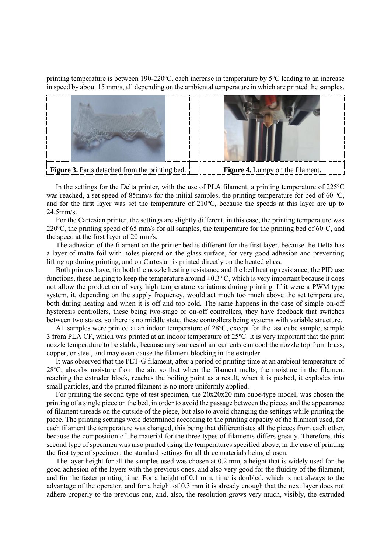printing temperature is between 190-220 $\degree$ C, each increase in temperature by  $5\degree$ C leading to an increase in speed by about 15 mm/s, all depending on the ambiental temperature in which are printed the samples.



In the settings for the Delta printer, with the use of PLA filament, a printing temperature of  $225^{\circ}$ C was reached, a set speed of 85mm/s for the initial samples, the printing temperature for bed of 60 °C, and for the first layer was set the temperature of  $210^{\circ}$ C, because the speeds at this layer are up to 24.5mm/s.

For the Cartesian printer, the settings are slightly different, in this case, the printing temperature was 220 $^{\circ}$ C, the printing speed of 65 mm/s for all samples, the temperature for the printing bed of 60 $^{\circ}$ C, and the speed at the first layer of 20 mm/s.

The adhesion of the filament on the printer bed is different for the first layer, because the Delta has a layer of matte foil with holes pierced on the glass surface, for very good adhesion and preventing lifting up during printing, and on Cartesian is printed directly on the heated glass.

Both printers have, for both the nozzle heating resistance and the bed heating resistance, the PID use functions, these helping to keep the temperature around  $\pm 0.3$  °C, which is very important because it does not allow the production of very high temperature variations during printing. If it were a PWM type system, it, depending on the supply frequency, would act much too much above the set temperature, both during heating and when it is off and too cold. The same happens in the case of simple on-off hysteresis controllers, these being two-stage or on-off controllers, they have feedback that switches between two states, so there is no middle state, these controllers being systems with variable structure.

All samples were printed at an indoor temperature of  $28^{\circ}$ C, except for the last cube sample, sample 3 from PLA CF, which was printed at an indoor temperature of  $25^{\circ}$ C. It is very important that the print nozzle temperature to be stable, because any sources of air currents can cool the nozzle top from brass, copper, or steel, and may even cause the filament blocking in the extruder.

It was observed that the PET-G filament, after a period of printing time at an ambient temperature of 28°C, absorbs moisture from the air, so that when the filament melts, the moisture in the filament reaching the extruder block, reaches the boiling point as a result, when it is pushed, it explodes into small particles, and the printed filament is no more uniformly applied.

For printing the second type of test specimen, the 20x20x20 mm cube-type model, was chosen the printing of a single piece on the bed, in order to avoid the passage between the pieces and the appearance of filament threads on the outside of the piece, but also to avoid changing the settings while printing the piece. The printing settings were determined according to the printing capacity of the filament used, for each filament the temperature was changed, this being that differentiates all the pieces from each other, because the composition of the material for the three types of filaments differs greatly. Therefore, this second type of specimen was also printed using the temperatures specified above, in the case of printing the first type of specimen, the standard settings for all three materials being chosen.

The layer height for all the samples used was chosen at 0.2 mm, a height that is widely used for the good adhesion of the layers with the previous ones, and also very good for the fluidity of the filament, and for the faster printing time. For a height of 0.1 mm, time is doubled, which is not always to the advantage of the operator, and for a height of 0.3 mm it is already enough that the next layer does not adhere properly to the previous one, and, also, the resolution grows very much, visibly, the extruded